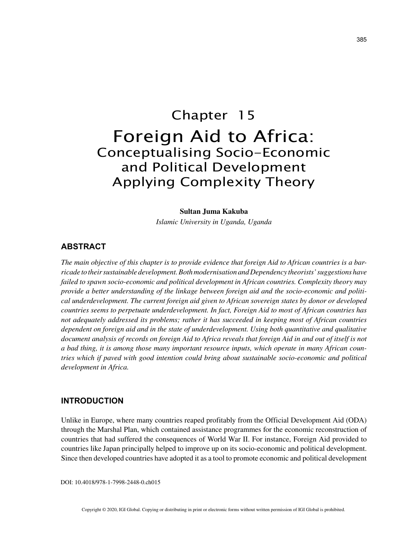# Chapter 15 Foreign Aid to Africa: Conceptualising Socio-Economic and Political Development Applying Complexity Theory

#### **Sultan Juma Kakuba**

*Islamic University in Uganda, Uganda*

## **ABSTRACT**

*The main objective of this chapter is to provide evidence that foreign Aid to African countries is a barricade to their sustainable development. Both modernisation and Dependency theorists' suggestions have failed to spawn socio-economic and political development in African countries. Complexity theory may provide a better understanding of the linkage between foreign aid and the socio-economic and political underdevelopment. The current foreign aid given to African sovereign states by donor or developed countries seems to perpetuate underdevelopment. In fact, Foreign Aid to most of African countries has not adequately addressed its problems; rather it has succeeded in keeping most of African countries dependent on foreign aid and in the state of underdevelopment. Using both quantitative and qualitative document analysis of records on foreign Aid to Africa reveals that foreign Aid in and out of itself is not a bad thing, it is among those many important resource inputs, which operate in many African countries which if paved with good intention could bring about sustainable socio-economic and political development in Africa.*

## **INTRODUCTION**

Unlike in Europe, where many countries reaped profitably from the Official Development Aid (ODA) through the Marshal Plan, which contained assistance programmes for the economic reconstruction of countries that had suffered the consequences of World War II. For instance, Foreign Aid provided to countries like Japan principally helped to improve up on its socio-economic and political development. Since then developed countries have adopted it as a tool to promote economic and political development

DOI: 10.4018/978-1-7998-2448-0.ch015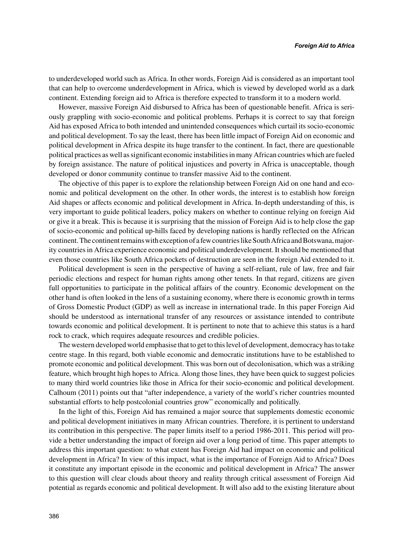to underdeveloped world such as Africa. In other words, Foreign Aid is considered as an important tool that can help to overcome underdevelopment in Africa, which is viewed by developed world as a dark continent. Extending foreign aid to Africa is therefore expected to transform it to a modern world.

However, massive Foreign Aid disbursed to Africa has been of questionable benefit. Africa is seriously grappling with socio-economic and political problems. Perhaps it is correct to say that foreign Aid has exposed Africa to both intended and unintended consequences which curtail its socio-economic and political development. To say the least, there has been little impact of Foreign Aid on economic and political development in Africa despite its huge transfer to the continent. In fact, there are questionable political practices as well as significant economic instabilities in many African countries which are fueled by foreign assistance. The nature of political injustices and poverty in Africa is unacceptable, though developed or donor community continue to transfer massive Aid to the continent.

The objective of this paper is to explore the relationship between Foreign Aid on one hand and economic and political development on the other. In other words, the interest is to establish how foreign Aid shapes or affects economic and political development in Africa. In-depth understanding of this, is very important to guide political leaders, policy makers on whether to continue relying on foreign Aid or give it a break. This is because it is surprising that the mission of Foreign Aid is to help close the gap of socio-economic and political up-hills faced by developing nations is hardly reflected on the African continent. The continent remains with exception of a few countries like South Africa and Botswana, majority countries in Africa experience economic and political underdevelopment. It should be mentioned that even those countries like South Africa pockets of destruction are seen in the foreign Aid extended to it.

Political development is seen in the perspective of having a self-reliant, rule of law, free and fair periodic elections and respect for human rights among other tenets. In that regard, citizens are given full opportunities to participate in the political affairs of the country. Economic development on the other hand is often looked in the lens of a sustaining economy, where there is economic growth in terms of Gross Domestic Product (GDP) as well as increase in international trade. In this paper Foreign Aid should be understood as international transfer of any resources or assistance intended to contribute towards economic and political development. It is pertinent to note that to achieve this status is a hard rock to crack, which requires adequate resources and credible policies.

The western developed world emphasise that to get to this level of development, democracy has to take centre stage. In this regard, both viable economic and democratic institutions have to be established to promote economic and political development. This was born out of decolonisation, which was a striking feature, which brought high hopes to Africa. Along those lines, they have been quick to suggest policies to many third world countries like those in Africa for their socio-economic and political development. Calhoum (2011) points out that "after independence, a variety of the world's richer countries mounted substantial efforts to help postcolonial countries grow" economically and politically.

In the light of this, Foreign Aid has remained a major source that supplements domestic economic and political development initiatives in many African countries. Therefore, it is pertinent to understand its contribution in this perspective. The paper limits itself to a period 1986-2011. This period will provide a better understanding the impact of foreign aid over a long period of time. This paper attempts to address this important question: to what extent has Foreign Aid had impact on economic and political development in Africa? In view of this impact, what is the importance of Foreign Aid to Africa? Does it constitute any important episode in the economic and political development in Africa? The answer to this question will clear clouds about theory and reality through critical assessment of Foreign Aid potential as regards economic and political development. It will also add to the existing literature about